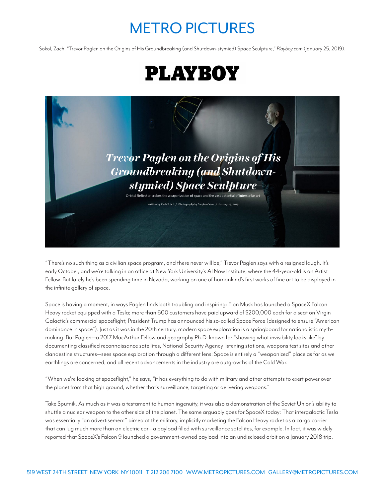## METRO PICTURES

Sokol, Zach. "Trevor Paglen on the Origins of His Groundbreaking (and Shutdown-stymied) Space Sculpture," *Playboy.com* (January 25, 2019).





"There's no such thing as a civilian space program, and there never will be," Trevor Paglen says with a resigned laugh. It's early October, and we're talking in an office at New York University's AI Now Institute, where the 44-year-old is an Artist Fellow. But lately he's been spending time in Nevada, working on one of humankind's first works of fine art to be displayed in the infinite gallery of space.

Space is having a moment, in ways Paglen finds both troubling and inspiring: Elon Musk has launched a SpaceX Falcon Heavy rocket equipped with a Tesla; more than 600 customers have paid upward of \$200,000 each for a seat on Virgin Galactic's commercial spaceflight; President Trump has announced his so-called Space Force (designed to ensure "American dominance in space"). Just as it was in the 20th century, modern space exploration is a springboard for nationalistic mythmaking. But Paglen—a 2017 MacArthur Fellow and geography Ph.D. known for "showing what invisibility looks like" by documenting classified reconnaissance satellites, National Security Agency listening stations, weapons test sites and other clandestine structures—sees space exploration through a different lens: Space is entirely a "weaponized" place as far as we earthlings are concerned, and all recent advancements in the industry are outgrowths of the Cold War.

"When we're looking at spaceflight," he says, "it has everything to do with military and other attempts to exert power over the planet from that high ground, whether that's surveillance, targeting or delivering weapons."

Take Sputnik. As much as it was a testament to human ingenuity, it was also a demonstration of the Soviet Union's ability to shuttle a nuclear weapon to the other side of the planet. The same arguably goes for SpaceX today: That intergalactic Tesla was essentially "an advertisement" aimed at the military, implicitly marketing the Falcon Heavy rocket as a cargo carrier that can lug much more than an electric car—a payload filled with surveillance satellites, for example. In fact, it was widely reported that SpaceX's Falcon 9 launched a government-owned payload into an undisclosed orbit on a January 2018 trip.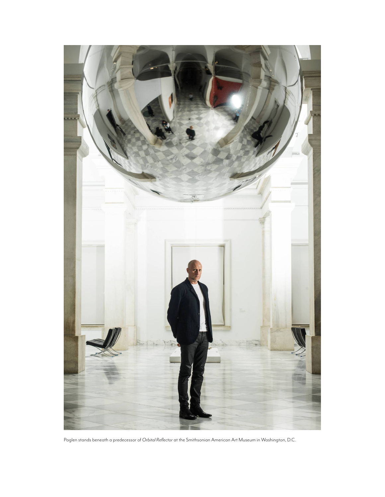

Paglen stands beneath a predecessor of *Orbital Reflector* at the Smithsonian American Art Museum in Washington, D.C.